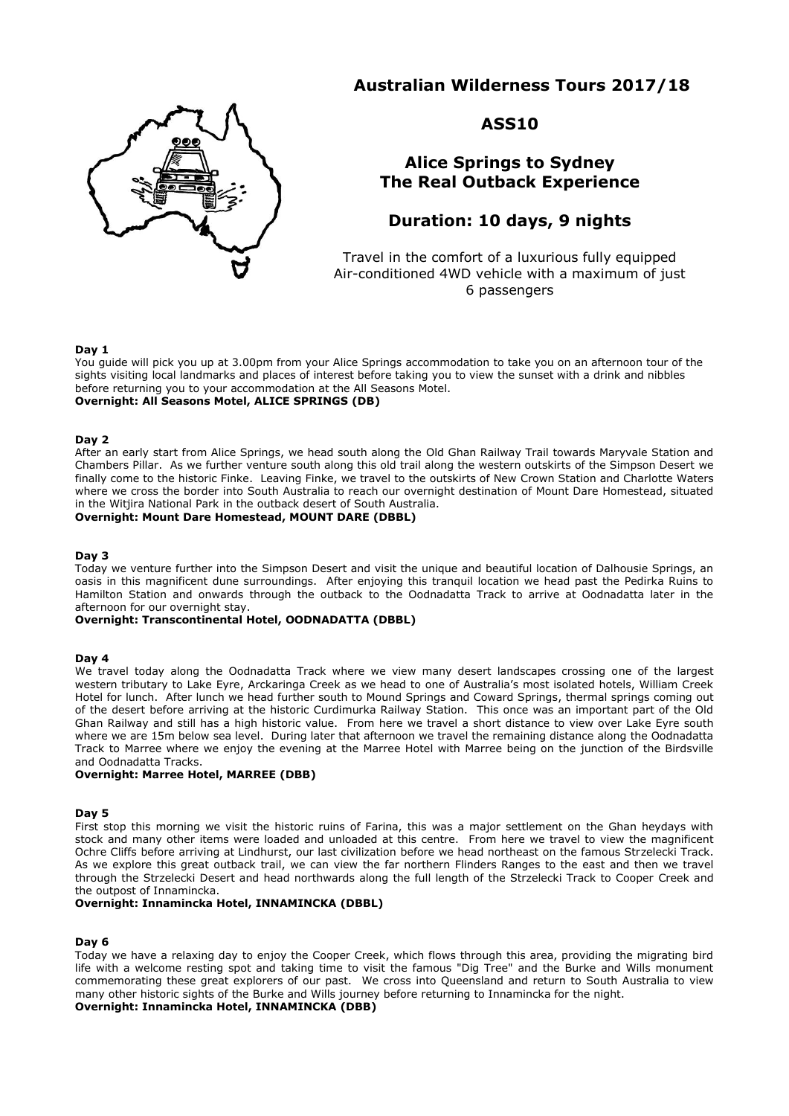# **Australian Wilderness Tours 2017/18**



## **ASS10**

## **Alice Springs to Sydney The Real Outback Experience**

# **Duration: 10 days, 9 nights**

Travel in the comfort of a luxurious fully equipped Air-conditioned 4WD vehicle with a maximum of just 6 passengers

## **Day 1**

You guide will pick you up at 3.00pm from your Alice Springs accommodation to take you on an afternoon tour of the sights visiting local landmarks and places of interest before taking you to view the sunset with a drink and nibbles before returning you to your accommodation at the All Seasons Motel. **Overnight: All Seasons Motel, ALICE SPRINGS (DB)**

### **Day 2**

After an early start from Alice Springs, we head south along the Old Ghan Railway Trail towards Maryvale Station and Chambers Pillar. As we further venture south along this old trail along the western outskirts of the Simpson Desert we finally come to the historic Finke. Leaving Finke, we travel to the outskirts of New Crown Station and Charlotte Waters where we cross the border into South Australia to reach our overnight destination of Mount Dare Homestead, situated in the Witjira National Park in the outback desert of South Australia.

## **Overnight: Mount Dare Homestead, MOUNT DARE (DBBL)**

#### **Day 3**

Today we venture further into the Simpson Desert and visit the unique and beautiful location of Dalhousie Springs, an oasis in this magnificent dune surroundings. After enjoying this tranquil location we head past the Pedirka Ruins to Hamilton Station and onwards through the outback to the Oodnadatta Track to arrive at Oodnadatta later in the afternoon for our overnight stay.

### **Overnight: Transcontinental Hotel, OODNADATTA (DBBL)**

#### **Day 4**

We travel today along the Oodnadatta Track where we view many desert landscapes crossing one of the largest western tributary to Lake Eyre, Arckaringa Creek as we head to one of Australia's most isolated hotels, William Creek Hotel for lunch. After lunch we head further south to Mound Springs and Coward Springs, thermal springs coming out of the desert before arriving at the historic Curdimurka Railway Station. This once was an important part of the Old Ghan Railway and still has a high historic value. From here we travel a short distance to view over Lake Eyre south where we are 15m below sea level. During later that afternoon we travel the remaining distance along the Oodnadatta Track to Marree where we enjoy the evening at the Marree Hotel with Marree being on the junction of the Birdsville and Oodnadatta Tracks.

## **Overnight: Marree Hotel, MARREE (DBB)**

#### **Day 5**

First stop this morning we visit the historic ruins of Farina, this was a major settlement on the Ghan heydays with stock and many other items were loaded and unloaded at this centre. From here we travel to view the magnificent Ochre Cliffs before arriving at Lindhurst, our last civilization before we head northeast on the famous Strzelecki Track. As we explore this great outback trail, we can view the far northern Flinders Ranges to the east and then we travel through the Strzelecki Desert and head northwards along the full length of the Strzelecki Track to Cooper Creek and the outpost of Innamincka.

#### **Overnight: Innamincka Hotel, INNAMINCKA (DBBL)**

## **Day 6**

Today we have a relaxing day to enjoy the Cooper Creek, which flows through this area, providing the migrating bird life with a welcome resting spot and taking time to visit the famous "Dig Tree" and the Burke and Wills monument commemorating these great explorers of our past. We cross into Queensland and return to South Australia to view many other historic sights of the Burke and Wills journey before returning to Innamincka for the night.

## **Overnight: Innamincka Hotel, INNAMINCKA (DBB)**